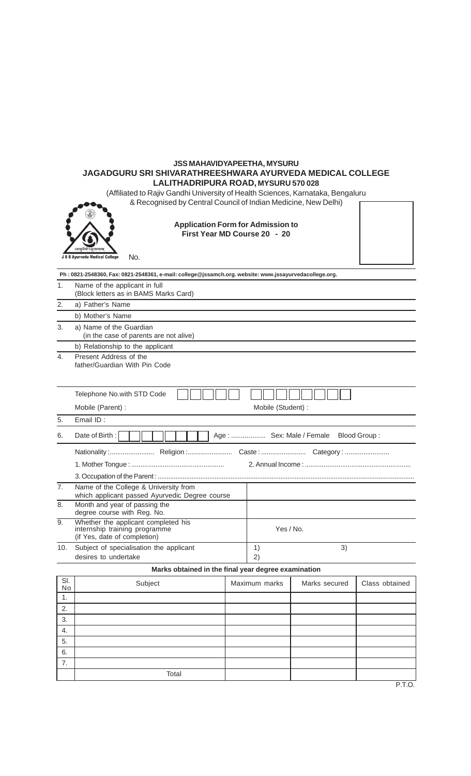## **JSS MAHAVIDYAPEETHA, MYSURU JAGADGURU SRI SHIVARATHREESHWARA AYURVEDA MEDICAL COLLEGE LALITHADRIPURA ROAD, MYSURU 570 028**

(Affiliated to Rajiv Gandhi University of Health Sciences, Karnataka, Bengaluru

& Recognised by Central Council of Indian Medicine, New Delhi)



**Application Form for Admission to First Year MD Course 20 - 20**

| Name of the applicant in full<br>(Block letters as in BAMS Marks Card) |
|------------------------------------------------------------------------|
| a) Father's Name                                                       |
| b) Mother's Name                                                       |
| _ _ _ _ _ _ _ _ _ _                                                    |

**Ph : 0821-2548360, Fax: 0821-2548361, e-mail: college@jssamch.org. website: www.jssayurvedacollege.org.**

3. a) Name of the Guardian (in the case of parents are not alive) b) Relationship to the applicant

4. Present Address of the father/Guardian With Pin Code

|                | Telephone No.with STD Code                                                                           |                                                      |  |  |  |  |  |
|----------------|------------------------------------------------------------------------------------------------------|------------------------------------------------------|--|--|--|--|--|
|                | Mobile (Parent) :                                                                                    | Mobile (Student):                                    |  |  |  |  |  |
| 5.             | Email ID:                                                                                            |                                                      |  |  |  |  |  |
| 6.             | Date of Birth:<br>Age:  Sex: Male / Female Blood Group:                                              |                                                      |  |  |  |  |  |
|                |                                                                                                      |                                                      |  |  |  |  |  |
|                |                                                                                                      |                                                      |  |  |  |  |  |
|                |                                                                                                      |                                                      |  |  |  |  |  |
| 7 <sub>1</sub> | Name of the College & University from<br>which applicant passed Ayurvedic Degree course              |                                                      |  |  |  |  |  |
| 8.             | Month and year of passing the<br>degree course with Reg. No.                                         |                                                      |  |  |  |  |  |
| 9.             | Whether the applicant completed his<br>internship training programme<br>(if Yes, date of completion) | Yes / No.                                            |  |  |  |  |  |
| 10.            | Subject of specialisation the applicant                                                              | 3)<br>$\left( \begin{matrix} 1 \end{matrix} \right)$ |  |  |  |  |  |
|                | desires to undertake                                                                                 | 2                                                    |  |  |  |  |  |

## **Marks obtained in the final year degree examination**

| SI.<br>No | Subject | Maximum marks | Marks secured | Class obtained |
|-----------|---------|---------------|---------------|----------------|
| ι.        |         |               |               |                |
| 2.        |         |               |               |                |
| 3.        |         |               |               |                |
| 4.        |         |               |               |                |
| 5.        |         |               |               |                |
| 6.        |         |               |               |                |
| 7.        |         |               |               |                |
|           | Total   |               |               |                |